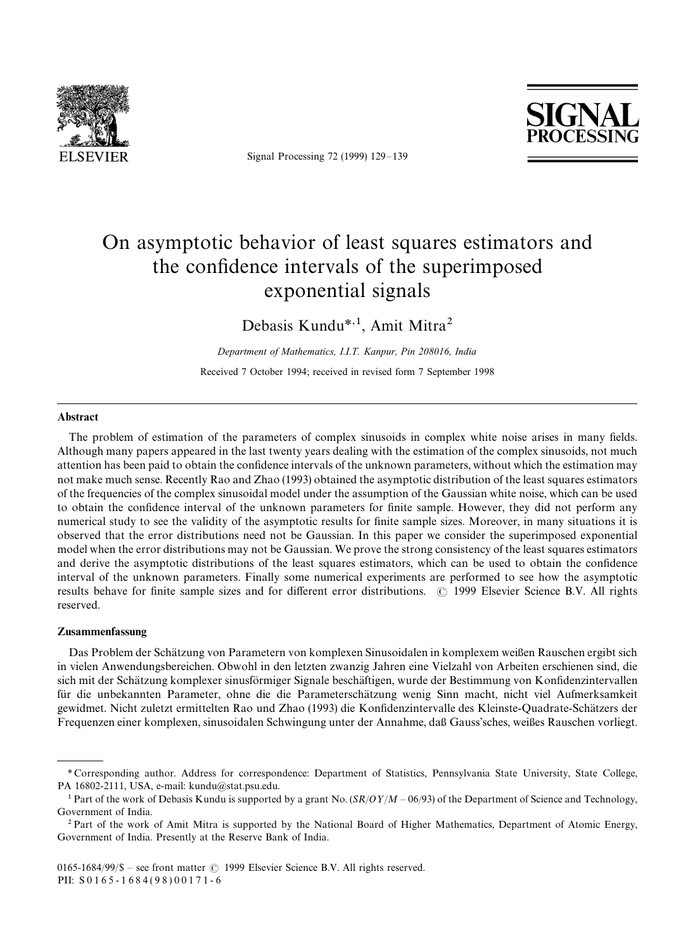

Signal Processing 72 (1999) 129*—*139



# On asymptotic behavior of least squares estimators and the confidence intervals of the superimposed exponential signals

Debasis Kundu*\**,1, Amit Mitra2

*Department of Mathematics, I.I.T. Kanpur, Pin 208016, India* Received 7 October 1994; received in revised form 7 September 1998

### Abstract

The problem of estimation of the parameters of complex sinusoids in complex white noise arises in many fields. Although many papers appeared in the last twenty years dealing with the estimation of the complex sinusoids, not much attention has been paid to obtain the confidence intervals of the unknown parameters, without which the estimation may not make much sense. Recently Rao and Zhao (1993) obtained the asymptotic distribution of the least squares estimators of the frequencies of the complex sinusoidal model under the assumption of the Gaussian white noise, which can be used to obtain the confidence interval of the unknown parameters for finite sample. However, they did not perform any numerical study to see the validity of the asymptotic results for finite sample sizes. Moreover, in many situations it is observed that the error distributions need not be Gaussian. In this paper we consider the superimposed exponential model when the error distributions may not be Gaussian. We prove the strong consistency of the least squares estimators and derive the asymptotic distributions of the least squares estimators, which can be used to obtain the confidence interval of the unknown parameters. Finally some numerical experiments are performed to see how the asymptotic results behave for finite sample sizes and for different error distributions. © 1999 Elsevier Science B.V. All rights reserved.

## Zusammenfassung

Das Problem der Schätzung von Parametern von komplexen Sinusoidalen in komplexem weißen Rauschen ergibt sich in vielen Anwendungsbereichen. Obwohl in den letzten zwanzig Jahren eine Vielzahl von Arbeiten erschienen sind, die sich mit der Schätzung komplexer sinusförmiger Signale beschäftigen, wurde der Bestimmung von Konfidenzintervallen für die unbekannten Parameter, ohne die die Parameterschätzung wenig Sinn macht, nicht viel Aufmerksamkeit gewidmet. Nicht zuletzt ermittelten Rao und Zhao (1993) die Konfidenzintervalle des Kleinste-Quadrate-Schätzers der Frequenzen einer komplexen, sinusoidalen Schwingung unter der Annahme, daß Gauss'sches, weißes Rauschen vorliegt.

*<sup>\*</sup>* Corresponding author. Address for correspondence: Department of Statistics, Pennsylvania State University, State College, PA 16802-2111, USA, e-mail: kundu@stat.psu.edu.

<sup>1</sup>Part of the work of Debasis Kundu is supported by a grant No. (*SR*/*O*½/*M —* 06/93) of the Department of Science and Technology, Government of India.

<sup>&</sup>lt;sup>2</sup> Part of the work of Amit Mitra is supported by the National Board of Higher Mathematics, Department of Atomic Energy, Government of India. Presently at the Reserve Bank of India.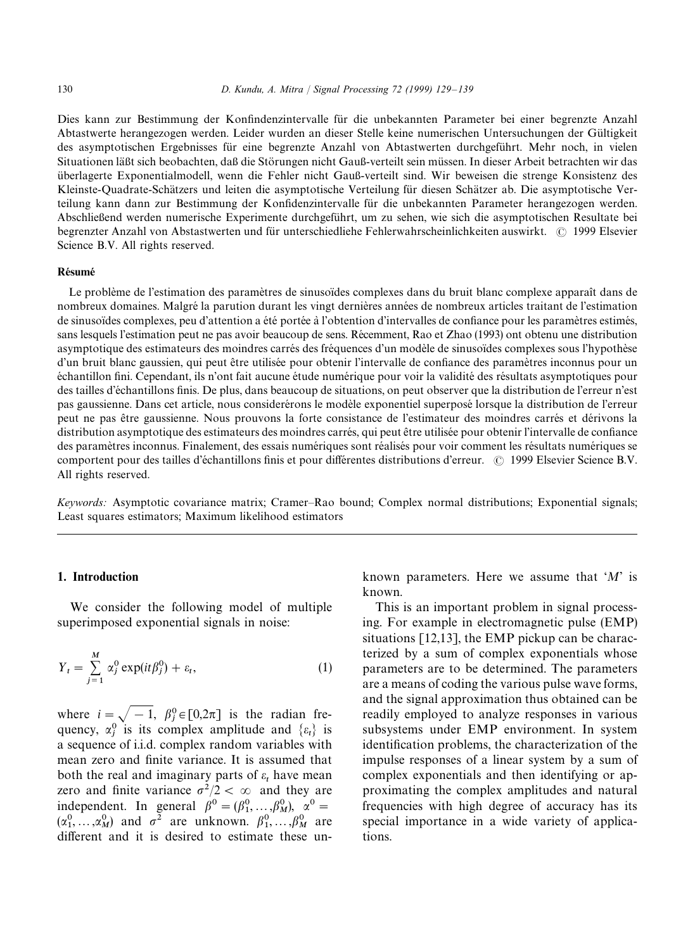Dies kann zur Bestimmung der Konfindenzintervalle für die unbekannten Parameter bei einer begrenzte Anzahl Abtastwerte herangezogen werden. Leider wurden an dieser Stelle keine numerischen Untersuchungen der Gültigkeit des asymptotischen Ergebnisses für eine begrenzte Anzahl von Abtastwerten durchgeführt. Mehr noch, in vielen Situationen läßt sich beobachten, daß die Störungen nicht Gauß-verteilt sein müssen. In dieser Arbeit betrachten wir das u¨ berlagerte Exponentialmodell, wenn die Fehler nicht Gau{-verteilt sind. Wir beweisen die strenge Konsistenz des Kleinste-Quadrate-Schätzers und leiten die asymptotische Verteilung für diesen Schätzer ab. Die asymptotische Verteilung kann dann zur Bestimmung der Konfidenzintervalle für die unbekannten Parameter herangezogen werden. Abschließend werden numerische Experimente durchgeführt, um zu sehen, wie sich die asymptotischen Resultate bei begrenzter Anzahl von Abstastwerten und für unterschiedliehe Fehlerwahrscheinlichkeiten auswirkt. © 1999 Elsevier Science B.V. All rights reserved.

#### **Résumé**

Le problème de l'estimation des paramètres de sinusoï des complexes dans du bruit blanc complexe apparaît dans de nombreux domaines. Malgré la parution durant les vingt dernières années de nombreux articles traitant de l'estimation de sinusoïdes complexes, peu d'attention a été portée à l'obtention d'intervalles de confiance pour les paramètres estimés, sans lesquels l'estimation peut ne pas avoir beaucoup de sens. Récemment, Rao et Zhao (1993) ont obtenu une distribution asymptotique des estimateurs des moindres carrés des fréquences d'un modèle de sinusoïdes complexes sous l'hypothèse d'un bruit blanc gaussien, qui peut être utilisée pour obtenir l'intervalle de confiance des paramètres inconnus pour un échantillon fini. Cependant, ils n'ont fait aucune étude numérique pour voir la validité des résultats asymptotiques pour des tailles d'échantillons finis. De plus, dans beaucoup de situations, on peut observer que la distribution de l'erreur n'est pas gaussienne. Dans cet article, nous considerérons le modèle exponentiel superposé lorsque la distribution de l'erreur peut ne pas être gaussienne. Nous prouvons la forte consistance de l'estimateur des moindres carrés et dérivons la distribution asymptotique des estimateurs des moindres carrés, qui peut être utilisée pour obtenir l'intervalle de confiance des paramètres inconnus. Finalement, des essais numériques sont réalisés pour voir comment les résultats numériques se comportent pour des tailles d'échantillons finis et pour différentes distributions d'erreur.  $\odot$  1999 Elsevier Science B.V. All rights reserved.

*Keywords:* Asymptotic covariance matrix; Cramer*—*Rao bound; Complex normal distributions; Exponential signals; Least squares estimators; Maximum likelihood estimators

## 1. Introduction

We consider the following model of multiple superimposed exponential signals in noise:

$$
Y_t = \sum_{j=1}^{M} \alpha_j^0 \exp(it\beta_j^0) + \varepsilon_t,
$$
\n(1)

where  $i = \sqrt{-1}$ ,  $\beta_j^0 \in [0, 2\pi]$  is the radian frequency,  $\alpha_j^0$  is its complex amplitude and  $\{\varepsilon_t\}$  is a sequence of i.i.d. complex random variables with mean zero and finite variance. It is assumed that both the real and imaginary parts of  $\varepsilon_t$  have mean zero and finite variance  $\sigma^2/2 < \infty$  and they are independent. In general  $\beta^0 = (\beta_1^0, ..., \beta_M^0)$ ,  $\alpha^0 =$  $(\alpha_1^0, \dots, \alpha_M^0)$  and  $\sigma^2$  are unknown.  $\beta_1^0, \dots, \beta_M^0$  are different and it is desired to estimate these unknown parameters. Here we assume that '*M*' is known.

This is an important problem in signal processing. For example in electromagnetic pulse (EMP) situations [12,13], the EMP pickup can be characterized by a sum of complex exponentials whose parameters are to be determined. The parameters are a means of coding the various pulse wave forms, and the signal approximation thus obtained can be readily employed to analyze responses in various subsystems under EMP environment. In system identification problems, the characterization of the impulse responses of a linear system by a sum of complex exponentials and then identifying or approximating the complex amplitudes and natural frequencies with high degree of accuracy has its special importance in a wide variety of applications.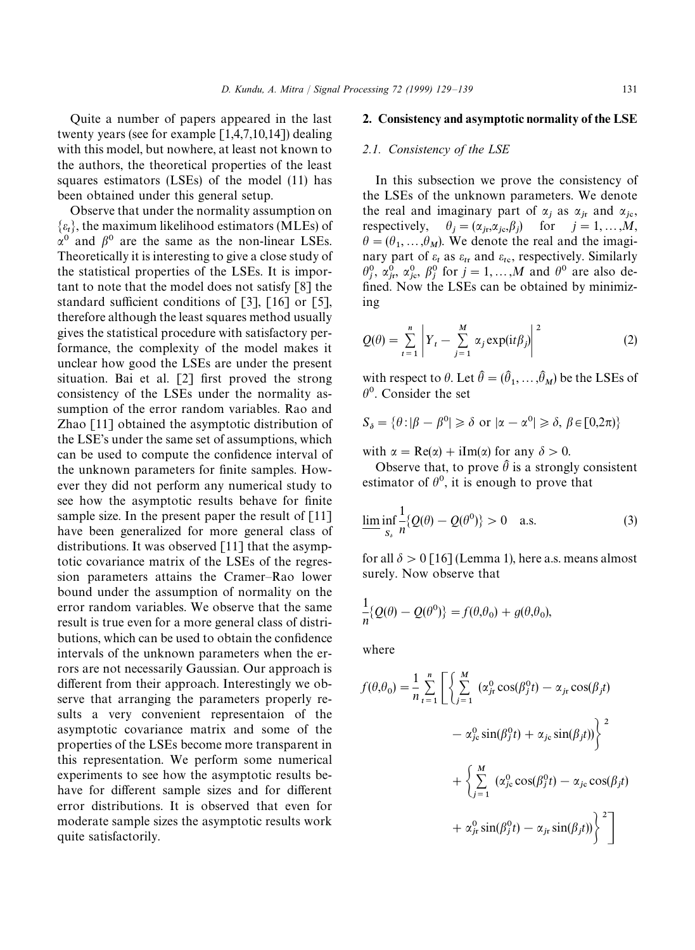Quite a number of papers appeared in the last twenty years (see for example  $[1,4,7,10,14]$ ) dealing with this model, but nowhere, at least not known to the authors, the theoretical properties of the least squares estimators (LSEs) of the model (11) has been obtained under this general setup.

Observe that under the normality assumption on  $\{\varepsilon_t\}$ , the maximum likelihood estimators (MLEs) of  $\alpha^0$  and  $\beta^0$  are the same as the non-linear LSEs. Theoretically it is interesting to give a close study of the statistical properties of the LSEs. It is important to note that the model does not satisfy [8] the standard sufficient conditions of [3], [16] or [5], therefore although the least squares method usually gives the statistical procedure with satisfactory performance, the complexity of the model makes it unclear how good the LSEs are under the present situation. Bai et al. [2] first proved the strong consistency of the LSEs under the normality assumption of the error random variables. Rao and Zhao [11] obtained the asymptotic distribution of the LSE's under the same set of assumptions, which can be used to compute the confidence interval of the unknown parameters for finite samples. However they did not perform any numerical study to see how the asymptotic results behave for finite sample size. In the present paper the result of  $\lceil 11 \rceil$ have been generalized for more general class of distributions. It was observed [11] that the asymptotic covariance matrix of the LSEs of the regression parameters attains the Cramer*—*Rao lower bound under the assumption of normality on the error random variables. We observe that the same result is true even for a more general class of distributions, which can be used to obtain the confidence intervals of the unknown parameters when the errors are not necessarily Gaussian. Our approach is different from their approach. Interestingly we observe that arranging the parameters properly results a very convenient representaion of the asymptotic covariance matrix and some of the properties of the LSEs become more transparent in this representation. We perform some numerical experiments to see how the asymptotic results behave for different sample sizes and for different error distributions. It is observed that even for moderate sample sizes the asymptotic results work quite satisfactorily.

# 2. Consistency and asymptotic normality of the LSE

## *2.1. Consistency of the LSE*

In this subsection we prove the consistency of the LSEs of the unknown parameters. We denote the real and imaginary part of  $\alpha_j$  as  $\alpha_{jr}$  and  $\alpha_{jc}$ , respectively,  $\theta_j = (\alpha_{j}, \alpha_{j}, \beta_j)$  for  $j = 1, ..., M$ ,  $\theta = (\theta_1, \dots, \theta_M)$ . We denote the real and the imagi $v = (v_1, \dots, v_M)$ . We denote the real and the finagrian<br>nary part of  $\varepsilon_t$  as  $\varepsilon_{tr}$  and  $\varepsilon_{tc}$ , respectively. Similarly  $\theta_j^0$ ,  $\alpha_{j\tau}^0$ ,  $\alpha_{j\sigma}^0$ ,  $\beta_j^0$  for  $j = 1, ..., M$  and  $\theta^0$  are also de fined. Now the LSEs can be obtained by minimizing

$$
Q(\theta) = \sum_{t=1}^{n} \left| Y_t - \sum_{j=1}^{M} \alpha_j \exp(it\beta_j) \right|^2
$$
 (2)

with respect to  $\theta$ . Let  $\hat{\theta} = (\hat{\theta}_1, \dots, \hat{\theta}_M)$  be the LSEs of  $\theta^0$ . Consider the set

$$
S_{\delta} = \{ \theta : |\beta - \beta^0| \ge \delta \text{ or } |\alpha - \alpha^0| \ge \delta, \beta \in [0, 2\pi) \}
$$

with  $\alpha = \text{Re}(\alpha) + i\text{Im}(\alpha)$  for any  $\delta > 0$ .

Observe that, to prove  $\hat{\theta}$  is a strongly consistent estimator of  $\theta^0$ , it is enough to prove that

$$
\underline{\lim_{s_\delta}} \inf_{n} \frac{1}{2} \{ Q(\theta) - Q(\theta^0) \} > 0 \quad \text{a.s.}
$$
 (3)

for all  $\delta > 0$  [16] (Lemma 1), here a.s. means almost surely. Now observe that

$$
\frac{1}{n}\lbrace Q(\theta) - Q(\theta^0) \rbrace = f(\theta, \theta_0) + g(\theta, \theta_0),
$$

where

$$
f(\theta,\theta_0) = \frac{1}{n} \sum_{t=1}^n \left[ \left\{ \sum_{j=1}^M (\alpha_{jt}^0 \cos(\beta_j^0 t) - \alpha_{jr} \cos(\beta_j t)) - \alpha_{jc}^0 \sin(\beta_j^0 t) + \alpha_{jc} \sin(\beta_j t) \right\}^2 + \left\{ \sum_{j=1}^M (\alpha_{jc}^0 \cos(\beta_j^0 t) - \alpha_{jc} \cos(\beta_j t)) + \alpha_{jr}^0 \sin(\beta_j^0 t) - \alpha_{jr} \sin(\beta_j t) \right\}^2 \right]
$$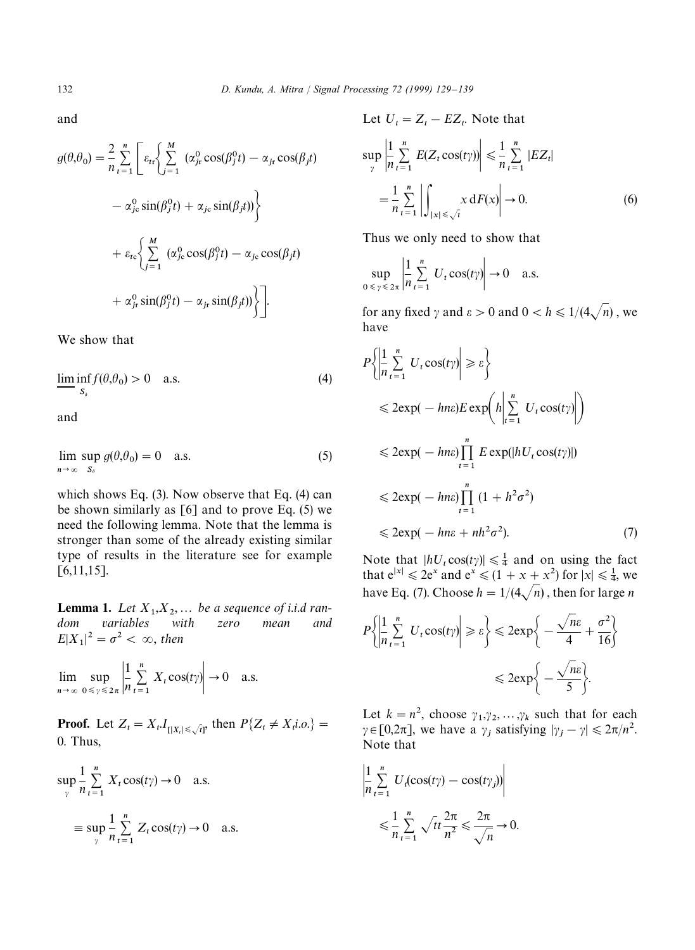and

$$
g(\theta, \theta_0) = \frac{2}{n} \sum_{t=1}^{n} \left[ \varepsilon_{tr} \left\{ \sum_{j=1}^{M} \left( \alpha_{jt}^0 \cos(\beta_j^0 t) - \alpha_{jt} \cos(\beta_j t) \right) - \alpha_{jc}^0 \sin(\beta_j^0 t) + \alpha_{jc} \sin(\beta_j t) \right\} \right]
$$
  
+  $\varepsilon_{tc} \left\{ \sum_{j=1}^{M} \left( \alpha_{jc}^0 \cos(\beta_j^0 t) - \alpha_{jc} \cos(\beta_j t) \right) + \alpha_{jr}^0 \sin(\beta_j^0 t) - \alpha_{jr} \sin(\beta_j t) \right\} \right]$ .

We show that

$$
\liminf_{S_s} f(\theta, \theta_0) > 0 \quad \text{a.s.} \tag{4}
$$

and

$$
\lim_{n \to \infty} \sup_{S_{\delta}} g(\theta, \theta_0) = 0 \quad \text{a.s.}
$$
 (5)

which shows Eq. (3). Now observe that Eq. (4) can be shown similarly as [6] and to prove Eq. (5) we need the following lemma. Note that the lemma is stronger than some of the already existing similar type of results in the literature see for example  $[6,11,15]$ .

**Lemma 1.** Let  $X_1, X_2, \ldots$  be a sequence of i.i.d ran*dom variables with zero mean and*  $E|X_1|^2 = \sigma^2 < \infty$ , then

lim  $n \rightarrow \infty$  $\sup_{0 \le \gamma \le 2\pi} \frac{1}{n}$ *n*  $\sum_{n=1}^{\infty}$  $t=1$  $X_t \cos(t\gamma) \rightarrow 0$  a.s.  $\overline{\phantom{0}}$ 

**Proof.** Let  $Z_t = X_t I_{\{|X_t| \le \sqrt{t}\}}$  then  $P\{Z_t \neq X_t \text{i.o.}\} = \Omega$ 0. Thus,

$$
\sup_{\gamma} \frac{1}{n} \sum_{t=1}^{n} X_t \cos(t\gamma) \to 0 \quad \text{a.s.}
$$

$$
\equiv \sup_{\gamma} \frac{1}{n} \sum_{t=1}^{n} Z_t \cos(t\gamma) \to 0 \quad \text{a.s.}
$$

Let  $U_t = Z_t - EZ_t$ . Note that

$$
\sup_{\gamma} \left| \frac{1}{n} \sum_{t=1}^{n} E(Z_t \cos(t\gamma)) \right| \leq \frac{1}{n} \sum_{t=1}^{n} |EZ_t|
$$
  
= 
$$
\frac{1}{n} \sum_{t=1}^{n} \left| \int_{|x| \leq \sqrt{t}} x \, dF(x) \right| \to 0.
$$
 (6)

Thus we only need to show that

$$
\sup_{0 \le \gamma \le 2\pi} \left| \frac{1}{n} \sum_{t=1}^{n} U_t \cos(t\gamma) \right| \to 0 \quad \text{a.s.}
$$

for any fixed  $\gamma$  and  $\varepsilon > 0$  and  $0 < h \leq 1/(4\sqrt{n})$ , we have

$$
P\left\{\left|\frac{1}{n}\sum_{t=1}^{n} U_{t} \cos(t\gamma)\right| \geq \varepsilon\right\}
$$
  
\n
$$
\leq 2 \exp(-h n \varepsilon) E \exp\left(h \left|\sum_{t=1}^{n} U_{t} \cos(t\gamma)\right|\right)
$$
  
\n
$$
\leq 2 \exp(-h n \varepsilon) \prod_{t=1}^{n} E \exp(|hU_{t} \cos(t\gamma)|)
$$
  
\n
$$
\leq 2 \exp(-h n \varepsilon) \prod_{t=1}^{n} (1 + h^{2} \sigma^{2})
$$
  
\n
$$
\leq 2 \exp(-h n \varepsilon + nh^{2} \sigma^{2}).
$$
 (7)

Note that  $|hU_t \cos(t\gamma)| \leq \frac{1}{4}$  and on using the fact that  $e^{|x|} \le 2e^x$  and  $e^x \le (1 + x + x^2)$  for  $|x| \le \frac{1}{4}$ , we have Eq. (7). Choose  $h = 1/(4\sqrt{n})$ , then for large *n* 

$$
P\left\{\left|\frac{1}{n}\sum_{t=1}^{n} U_t \cos(t\gamma)\right| \ge \varepsilon\right\} \le 2 \exp\left\{-\frac{\sqrt{n}\varepsilon}{4} + \frac{\sigma^2}{16}\right\}
$$

$$
\le 2 \exp\left\{-\frac{\sqrt{n}\varepsilon}{5}\right\}.
$$

Let  $k = n^2$ , choose  $\gamma_1, \gamma_2, ..., \gamma_k$  such that for each  $\gamma \in [0, 2\pi]$ , we have a  $\gamma_j$  satisfying  $|\gamma_j - \gamma| \leq 2\pi/n^2$ . Note that

$$
\left| \frac{1}{n} \sum_{t=1}^{n} U_t(\cos(t\gamma) - \cos(t\gamma_j)) \right|
$$
  

$$
\leq \frac{1}{n} \sum_{t=1}^{n} \sqrt{t} \frac{2\pi}{n^2} \leq \frac{2\pi}{\sqrt{n}} \to 0.
$$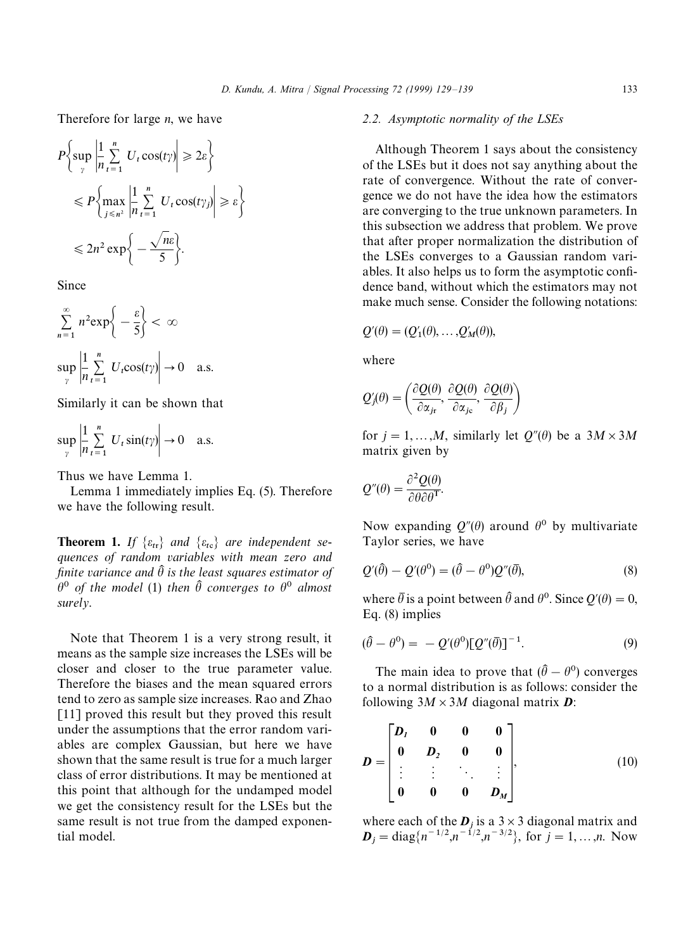Therefore for large *n*, we have

$$
P\left\{\sup_{\gamma}\left|\frac{1}{n}\sum_{t=1}^{n}U_{t}\cos(t\gamma)\right|\geq 2\varepsilon\right\}
$$
  

$$
\leq P\left\{\max_{j\leq n^{2}}\left|\frac{1}{n}\sum_{t=1}^{n}U_{t}\cos(t\gamma_{j})\right|\geq \varepsilon\right\}
$$
  

$$
\leq 2n^{2}\exp\left\{-\frac{\sqrt{n}\varepsilon}{5}\right\}.
$$

Since

$$
\sum_{n=1}^{\infty} n^2 \exp\left\{-\frac{\varepsilon}{5}\right\} < \infty
$$
  
\n
$$
\sup_{\gamma} \left| \frac{1}{n} \sum_{t=1}^{n} U_t \cos(t\gamma) \right| \to 0 \quad \text{a.s.}
$$

Similarly it can be shown that

$$
\sup_{\gamma} \left| \frac{1}{n} \sum_{t=1}^{n} U_t \sin(t\gamma) \right| \to 0 \quad \text{a.s.}
$$

Thus we have Lemma 1.

Lemma 1 immediately implies Eq. (5). Therefore we have the following result.

**Theorem 1.** If  $\{\varepsilon_{tr}\}$  and  $\{\varepsilon_{tc}\}$  are independent se*quences of random variables with mean zero and finite variance and*  $\hat{\theta}$  *is the least squares estimator of*  $\hat{\theta}^0$  of the model (1) then  $\hat{\theta}$  converges to  $\theta^0$  almost *surely*.

Note that Theorem 1 is a very strong result, it means as the sample size increases the LSEs will be closer and closer to the true parameter value. Therefore the biases and the mean squared errors tend to zero as sample size increases. Rao and Zhao [11] proved this result but they proved this result under the assumptions that the error random variables are complex Gaussian, but here we have shown that the same result is true for a much larger class of error distributions. It may be mentioned at this point that although for the undamped model we get the consistency result for the LSEs but the same result is not true from the damped exponential model.

# *2.2. Asymptotic normality of the LSEs*

Although Theorem 1 says about the consistency of the LSEs but it does not say anything about the rate of convergence. Without the rate of convergence we do not have the idea how the estimators are converging to the true unknown parameters. In this subsection we address that problem. We prove that after proper normalization the distribution of the LSEs converges to a Gaussian random variables. It also helps us to form the asymptotic confidence band, without which the estimators may not make much sense. Consider the following notations:

$$
Q'(\theta) = (Q'_1(\theta), \ldots, Q'_M(\theta)),
$$

where

$$
Q'_{j}(\theta) = \left(\frac{\partial Q(\theta)}{\partial \alpha_{j r}}, \frac{\partial Q(\theta)}{\partial \alpha_{j c}}, \frac{\partial Q(\theta)}{\partial \beta_{j}}\right)
$$

for  $j = 1, \ldots, M$ , similarly let  $Q''(\theta)$  be a  $3M \times 3M$ matrix given by

$$
Q''(\theta) = \frac{\partial^2 Q(\theta)}{\partial \theta \partial \theta^{\mathrm{T}}}.
$$

Now expanding  $Q''(\theta)$  around  $\theta^0$  by multivariate Taylor series, we have

$$
Q'(\hat{\theta}) - Q'(\theta^0) = (\hat{\theta} - \theta^0)Q''(\bar{\theta}),
$$
\n(8)

where  $\bar{\theta}$  is a point between  $\hat{\theta}$  and  $\theta^0$ . Since  $Q'(\theta) = 0$ , Eq. (8) implies

$$
(\hat{\theta} - \theta^0) = -Q'(\theta^0)[Q''(\bar{\theta})]^{-1}.
$$
\n(9)

The main idea to prove that  $(\hat{\theta} - \theta^0)$  converges to a normal distribution is as follows: consider the following  $3M \times 3M$  diagonal matrix **D**:

$$
D = \begin{bmatrix} D_I & 0 & 0 & 0 \\ 0 & D_2 & 0 & 0 \\ \vdots & \vdots & \ddots & \vdots \\ 0 & 0 & 0 & D_M \end{bmatrix},
$$
(10)

where each of the  $D_j$  is a  $3 \times 3$  diagonal matrix and  $D_j = \text{diag}\lbrace n^{-1/2}, n^{-1/2}, n^{-3/2}\rbrace$ , for  $j = 1, ..., n$ . Now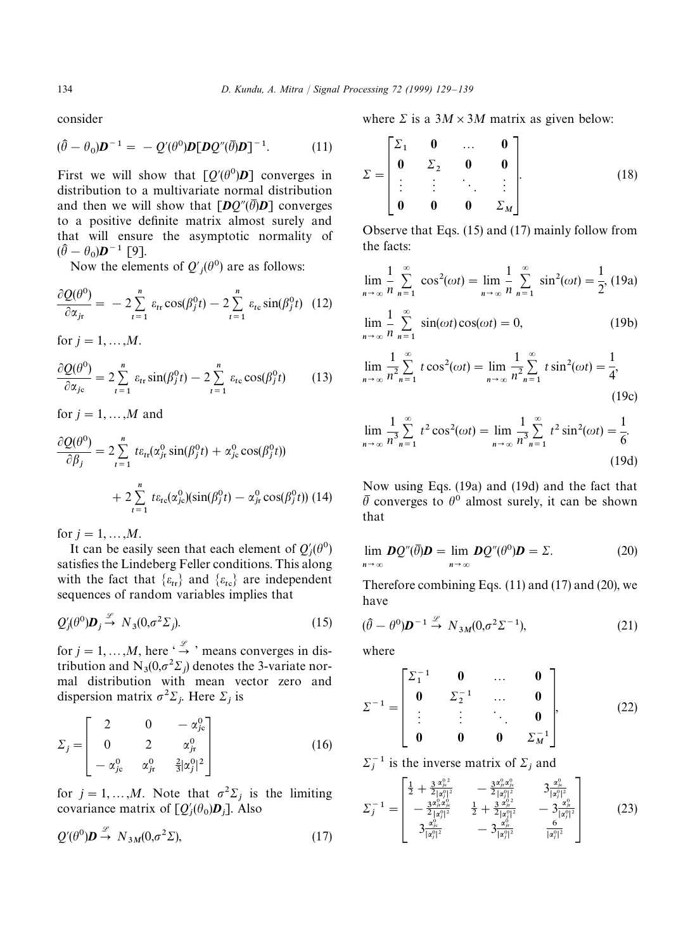consider

$$
(\hat{\theta} - \theta_0)\boldsymbol{D}^{-1} = -Q'(\theta^0)\boldsymbol{D}[\boldsymbol{D}Q''(\overline{\theta})\boldsymbol{D}]^{-1}.
$$
 (11)

First we will show that  $\left[Q'(\theta^0)\mathbf{D}\right]$  converges in distribution to a multivariate normal distribution and then we will show that  $[DQ''(\overline{\theta})D]$  converges to a positive definite matrix almost surely and that will ensure the asymptotic normality of  $(\widehat{\theta} - \theta_0)\boldsymbol{D}^{-1}$  [9].

 $(v_0)\boldsymbol{D}$  [>].<br>Now the elements of  $Q'_{j}(\theta^0)$  are as follows:

$$
\frac{\partial Q(\theta^0)}{\partial \alpha_{jr}} = -2 \sum_{t=1}^n \varepsilon_{tr} \cos(\beta_j^0 t) - 2 \sum_{t=1}^n \varepsilon_{tc} \sin(\beta_j^0 t) \tag{12}
$$

for  $j = 1, ..., M$ .

$$
\frac{\partial Q(\theta^0)}{\partial \alpha_{jc}} = 2 \sum_{t=1}^n \varepsilon_{tr} \sin(\beta_j^0 t) - 2 \sum_{t=1}^n \varepsilon_{tc} \cos(\beta_j^0 t) \tag{13}
$$

for  $j = 1, \ldots, M$  and

$$
\frac{\partial Q(\theta^0)}{\partial \beta_j} = 2 \sum_{t=1}^n t \varepsilon_{tt} (\alpha_{jr}^0 \sin(\beta_j^0 t) + \alpha_{jc}^0 \cos(\beta_j^0 t))
$$

$$
+ 2 \sum_{t=1}^n t \varepsilon_{tc} (\alpha_{jc}^0) (\sin(\beta_j^0 t) - \alpha_{jr}^0 \cos(\beta_j^0 t))
$$
(14)

for  $j = 1, ..., M$ .

It can be easily seen that each element of  $Q'_{j}(\theta^0)$  satisfies the Lindeberg Feller conditions. This along with the fact that  $\{\varepsilon_{tr}\}\$  and  $\{\varepsilon_{tc}\}\$  are independent sequences of random variables implies that

$$
Q_j'(\theta^0)\mathbf{D}_j \stackrel{\mathscr{L}}{\rightarrow} N_3(0,\sigma^2\Sigma_j). \tag{15}
$$

for  $j = 1, ..., M$ , here ' $\stackrel{\mathscr{L}}{\rightarrow}$  ' means converges in distribution and  $N_3(0, \sigma^2 \Sigma_j)$  denotes the 3-variate nor mal distribution with mean vector zero and dispersion matrix  $\sigma^2 \Sigma_j$ . Here  $\Sigma_j$  is

$$
\Sigma_{j} = \begin{bmatrix} 2 & 0 & -\alpha_{jc}^{0} \\ 0 & 2 & \alpha_{jr}^{0} \\ -\alpha_{jc}^{0} & \alpha_{jr}^{0} & \frac{2}{3}|\alpha_{j}^{0}|^{2} \end{bmatrix}
$$
(16)

for  $j = 1, ..., M$ . Note that  $\sigma^2 \Sigma_j$  is the limiting covariance matrix of  $[Q'_{j}(\theta_{0})D_{j}]$ . Also

$$
Q'(\theta^0)\mathbf{D} \stackrel{\mathcal{L}}{\rightarrow} N_{3M}(0,\sigma^2\Sigma),\tag{17}
$$

where  $\Sigma$  is a  $3M \times 3M$  matrix as given below:

$$
\Sigma = \begin{bmatrix} \Sigma_1 & 0 & \dots & 0 \\ 0 & \Sigma_2 & 0 & 0 \\ \vdots & \vdots & \ddots & \vdots \\ 0 & 0 & 0 & \Sigma_M \end{bmatrix} .
$$
 (18)

Observe that Eqs. (15) and (17) mainly follow from the facts:

$$
\lim_{n \to \infty} \frac{1}{n} \sum_{n=1}^{\infty} \cos^2(\omega t) = \lim_{n \to \infty} \frac{1}{n} \sum_{n=1}^{\infty} \sin^2(\omega t) = \frac{1}{2}, (19a)
$$
  

$$
\lim_{n \to \infty} \frac{1}{n} \sum_{n=1}^{\infty} \sin(\omega t) \cos(\omega t) = 0,
$$
 (19b)

$$
\lim_{n \to \infty} \frac{1}{n^2} \sum_{n=1}^{\infty} t \cos^2(\omega t) = \lim_{n \to \infty} \frac{1}{n^2} \sum_{n=1}^{\infty} t \sin^2(\omega t) = \frac{1}{4},\tag{19c}
$$

$$
\lim_{n \to \infty} \frac{1}{n^3} \sum_{n=1}^{\infty} t^2 \cos^2(\omega t) = \lim_{n \to \infty} \frac{1}{n^3} \sum_{n=1}^{\infty} t^2 \sin^2(\omega t) = \frac{1}{6}.
$$
\n(19d)

Now using Eqs. (19a) and (19d) and the fact that  $\overline{\theta}$  converges to  $\theta^0$  almost surely, it can be shown that

$$
\lim_{n \to \infty} DQ''(\overline{\theta})D = \lim_{n \to \infty} DQ''(\theta^0)D = \Sigma.
$$
 (20)

Therefore combining Eqs.  $(11)$  and  $(17)$  and  $(20)$ , we have

$$
(\hat{\theta} - \theta^0)\mathbf{D}^{-1} \stackrel{\mathscr{L}}{\rightarrow} N_{3M}(0, \sigma^2 \Sigma^{-1}), \tag{21}
$$

where

$$
\Sigma^{-1} = \begin{bmatrix} \Sigma_1^{-1} & 0 & \cdots & 0 \\ 0 & \Sigma_2^{-1} & \cdots & 0 \\ \vdots & \vdots & \ddots & 0 \\ 0 & 0 & 0 & \Sigma_M^{-1} \end{bmatrix},
$$
(22)

$$
\Sigma_j^{-1}
$$
 is the inverse matrix of  $\Sigma_j$  and

$$
\Sigma_j^{-1} = \begin{bmatrix} \frac{1}{2} + \frac{3 \alpha_{\nu}^2}{2 |\alpha_{\nu}^0|^2} & -\frac{3 \alpha_{\nu}^2 \alpha_{\nu}^0}{2 |\alpha_{\nu}^0|^2} & 3 \frac{\alpha_{\nu}^0}{|\alpha_{\nu}^0|^2} \\ -\frac{3 \alpha_{\nu}^0 \alpha_{\nu}^0}{2 |\alpha_{\nu}^0|^2} & \frac{1}{2} + \frac{3 \alpha_{\nu}^0}{2 |\alpha_{\nu}^0|^2} & -3 \frac{\alpha_{\nu}^0}{|\alpha_{\nu}^0|^2} \\ 3 \frac{\alpha_{\nu}^0}{|\alpha_{\nu}^0|^2} & -3 \frac{\alpha_{\nu}^0}{|\alpha_{\nu}^0|^2} & \frac{6}{|\alpha_{\nu}^0|^2} \end{bmatrix}
$$
(23)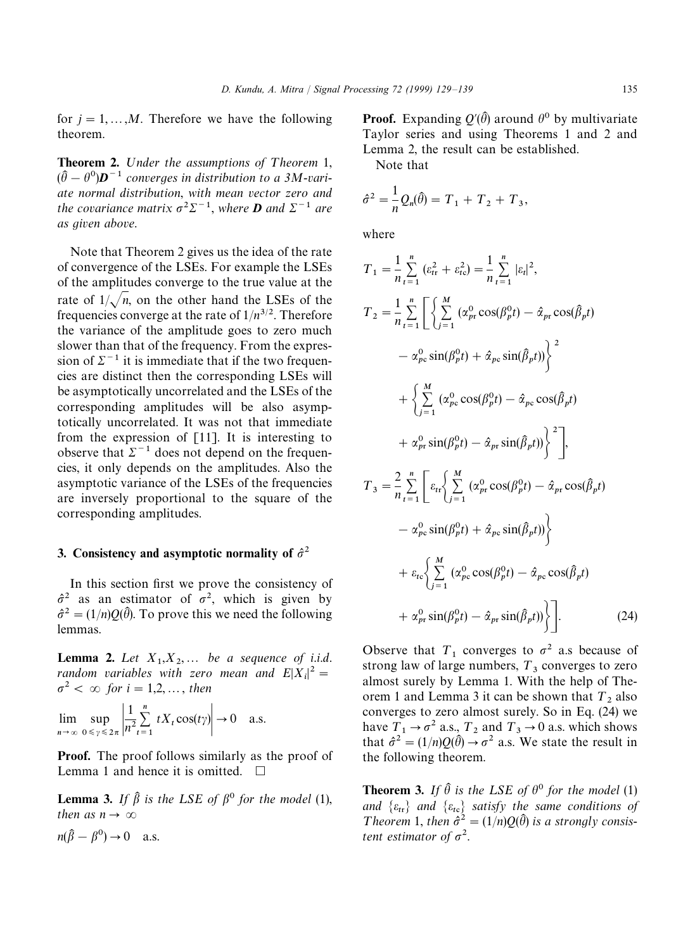for  $j = 1, \ldots, M$ . Therefore we have the following theorem.

**Theorem 2.** Under the assumptions of Theorem 1,  $(\hat{\theta} - \theta^0)\mathbf{D}^{-1}$  *converges in distribution to a 3M-variate normal distribution*, *with mean vector zero and the covariance matrix*  $\sigma^2 \Sigma^{-1}$ , *where D* and  $\Sigma^{-1}$  are *as given above*.

Note that Theorem 2 gives us the idea of the rate of convergence of the LSEs. For example the LSEs of the amplitudes converge to the true value at the rate of  $1/\sqrt{n}$ , on the other hand the LSEs of the frequencies converge at the rate of  $1/n^{3/2}$ . Therefore the variance of the amplitude goes to zero much slower than that of the frequency. From the expression of  $\Sigma^{-1}$  it is immediate that if the two frequencies are distinct then the corresponding LSEs will be asymptotically uncorrelated and the LSEs of the corresponding amplitudes will be also asymptotically uncorrelated. It was not that immediate from the expression of [11]. It is interesting to observe that  $\Sigma^{-1}$  does not depend on the frequencies, it only depends on the amplitudes. Also the asymptotic variance of the LSEs of the frequencies are inversely proportional to the square of the corresponding amplitudes.

# 3. Consistency and asymptotic normality of  $\hat{\sigma}^2$

In this section first we prove the consistency of  $\hat{\sigma}^2$  as an estimator of  $\sigma^2$ , which is given by  $\hat{\sigma}^2 = (1/n)Q(\hat{\theta})$ . To prove this we need the following lemmas.

**Lemma 2.** Let  $X_1, X_2, \ldots$  be a sequence of i.i.d. *random variables with zero mean and*  $E|X_i|^2 =$  $\sigma^2$  <  $\infty$  for *i* = 1,2, ..., *then* 

lim  $n \rightarrow \infty$  $\sup_{0 \leq \gamma \leq 2\pi} \frac{1}{n^2}$ *n*2  $\sum_{n=1}^{n}$  $t=1$  $tX_t \cos(t\gamma) \rightarrow 0$  a.s.

Proof. The proof follows similarly as the proof of Lemma 1 and hence it is omitted.  $\Box$ 

**Lemma 3.** *If*  $\hat{\beta}$  *is the LSE of*  $\beta^0$  *for the model* (1), *then as n*  $\rightarrow \infty$  $n(\hat{B} - B^0) \rightarrow 0$  a.s.

**Proof.** Expanding  $Q'(\hat{\theta})$  around  $\theta^0$  by multivariate Taylor series and using Theorems 1 and 2 and Lemma 2, the result can be established.

Note that

$$
\hat{\sigma}^2 = \frac{1}{n} Q_n(\hat{\theta}) = T_1 + T_2 + T_3,
$$

where

$$
T_1 = \frac{1}{n} \sum_{t=1}^n (\varepsilon_{tr}^2 + \varepsilon_{tc}^2) = \frac{1}{n} \sum_{t=1}^n |\varepsilon_t|^2,
$$
  
\n
$$
T_2 = \frac{1}{n} \sum_{t=1}^n \left[ \sum_{j=1}^M (\alpha_{pr}^0 \cos(\beta_p^0 t) - \hat{\alpha}_{pr} \cos(\hat{\beta}_p t) - \alpha_{pc}^0 \sin(\beta_p^0 t)) \right]^2
$$
  
\n
$$
+ \left\{ \sum_{j=1}^M (\alpha_{pc}^0 \cos(\beta_p^0 t) - \hat{\alpha}_{pc} \cos(\hat{\beta}_p t) - \alpha_{pc}^0 \cos(\hat{\beta}_p t) - \alpha_{pc}^0 \sin(\hat{\beta}_p^0 t) \right\}^2 \right]
$$
  
\n
$$
+ \alpha_{pr}^0 \sin(\beta_p^0 t) - \hat{\alpha}_{pr} \sin(\hat{\beta}_p t) \left\}^2
$$
  
\n
$$
T_3 = \frac{2}{n} \sum_{t=1}^n \left[ \varepsilon_{tr} \left\{ \sum_{j=1}^M (\alpha_{pr}^0 \cos(\beta_p^0 t) - \hat{\alpha}_{pr} \cos(\hat{\beta}_p t) - \alpha_{pc}^0 \sin(\beta_p^0 t) + \hat{\alpha}_{pc} \sin(\hat{\beta}_p t) \right\} \right]
$$

+ 
$$
\varepsilon_{tc} \Biggl\{ \sum_{j=1}^{M} (\alpha_{pc}^{0} \cos(\beta_{p}^{0} t) - \hat{\alpha}_{pc} \cos(\hat{\beta}_{p} t)
$$
  
+  $\alpha_{pr}^{0} \sin(\beta_{p}^{0} t) - \hat{\alpha}_{pr} \sin(\hat{\beta}_{p} t) \Biggr\} \Biggr].$  (24)

Observe that  $T_1$  converges to  $\sigma^2$  a.s because of strong law of large numbers,  $T_3$  converges to zero almost surely by Lemma 1. With the help of Theorem 1 and Lemma 3 it can be shown that  $T_2$  also converges to zero almost surely. So in Eq. (24) we have  $T_1 \rightarrow \sigma^2$  a.s.,  $T_2$  and  $T_3 \rightarrow 0$  a.s. which shows that  $\hat{\sigma}^2 = (1/n)Q(\hat{\theta}) \rightarrow \sigma^2$  a.s. We state the result in the following theorem.

**Theorem 3.** *If*  $\hat{\theta}$  *is the LSE of*  $\theta^0$  *for the model* (1) and  $\{\varepsilon_{tr}\}$  and  $\{\varepsilon_{tc}\}$  satisfy the same conditions of *Theorem* 1, *then*  $\hat{\sigma}^2 = (1/n)Q(\hat{\theta})$  *is a strongly consistent estimator of*  $\sigma^2$ .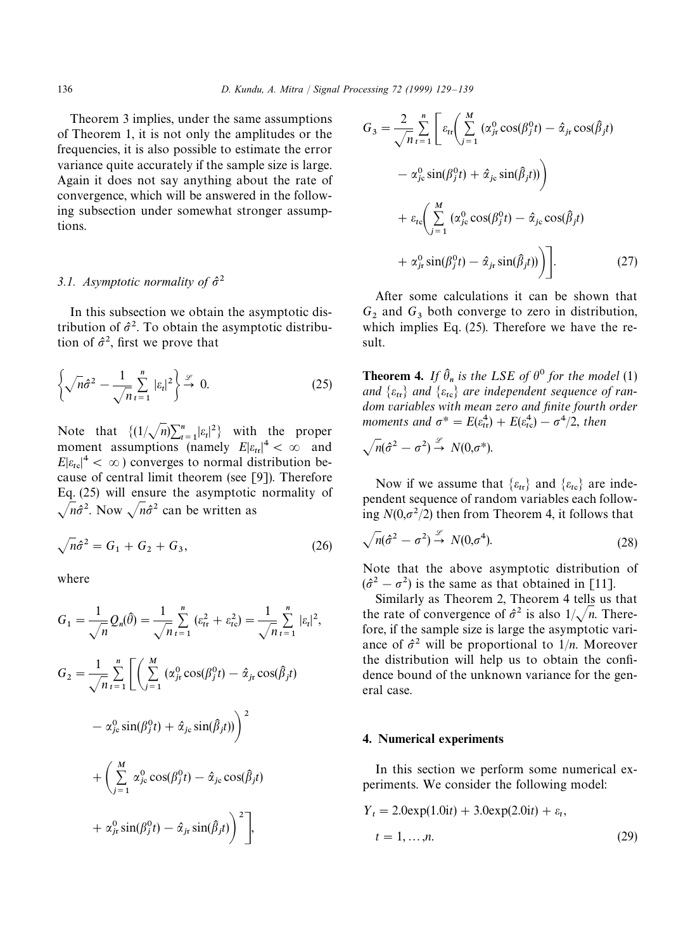Theorem 3 implies, under the same assumptions of Theorem 1, it is not only the amplitudes or the frequencies, it is also possible to estimate the error variance quite accurately if the sample size is large. Again it does not say anything about the rate of convergence, which will be answered in the following subsection under somewhat stronger assumptions.

# *3.1. Asymptotic normality of*  $\hat{\sigma}^2$

In this subsection we obtain the asymptotic distribution of  $\hat{\sigma}^2$ . To obtain the asymptotic distribution of  $\hat{\sigma}^2$ , first we prove that

$$
\left\{\sqrt{n}\hat{\sigma}^2 - \frac{1}{\sqrt{n}}\sum_{t=1}^n |\varepsilon_t|^2\right\} \xrightarrow{\mathscr{L}} 0. \tag{25}
$$

Note that  $\left\{ \frac{1}{\sqrt{n}} \sum_{i=1}^{n} |\varepsilon_i|^2 \right\}$  with the proper moment assumptions (namely  $E|\varepsilon_{tr}|^4 < \infty$  and  $E|\varepsilon_{\text{tc}}|^4 < \infty$ ) converges to normal distribution because of central limit theorem (see [9]). Therefore Eq. (25) will ensure the asymptotic normality of  $\sqrt{n}\hat{\sigma}^2$ . Now  $\sqrt{n}\hat{\sigma}^2$  can be written as

$$
\sqrt{n}\hat{\sigma}^2 = G_1 + G_2 + G_3,\tag{26}
$$

where

$$
G_1 = \frac{1}{\sqrt{n}} Q_n(\hat{\theta}) = \frac{1}{\sqrt{n}} \sum_{t=1}^n (\varepsilon_{tr}^2 + \varepsilon_{tc}^2) = \frac{1}{\sqrt{n}} \sum_{t=1}^n |\varepsilon_t|^2,
$$
  
\n
$$
G_2 = \frac{1}{\sqrt{n}} \sum_{t=1}^n \left[ \left( \sum_{j=1}^M (\alpha_{jr}^0 \cos(\beta_j^0 t) - \hat{\alpha}_{jr} \cos(\hat{\beta}_j t) - \alpha_{jc}^0 \sin(\beta_j t)) \right)^2 + \left( \sum_{j=1}^M \alpha_{jc}^0 \cos(\beta_j^0 t) - \hat{\alpha}_{jc} \cos(\hat{\beta}_j t) + \alpha_{jc}^0 \cos(\beta_j^0 t) - \hat{\alpha}_{jc} \cos(\hat{\beta}_j t) \right)^2 + \alpha_{jr}^0 \sin(\beta_j^0 t) - \hat{\alpha}_{jr} \sin(\hat{\beta}_j t) \right)^2,
$$

$$
G_3 = \frac{2}{\sqrt{n}} \sum_{t=1}^n \left[ \varepsilon_{tr} \left( \sum_{j=1}^M (\alpha_{jr}^0 \cos(\beta_j^0 t) - \hat{\alpha}_{jr} \cos(\hat{\beta}_j t) - \alpha_{jc}^0 \sin(\beta_j^0 t) + \hat{\alpha}_{jc} \sin(\hat{\beta}_j t) \right) \right]
$$

$$
+ \varepsilon_{tc} \left( \sum_{j=1}^M (\alpha_{jc}^0 \cos(\beta_j^0 t) - \hat{\alpha}_{jc} \cos(\hat{\beta}_j t) + \alpha_{jr}^0 \sin(\beta_j^0 t) - \hat{\alpha}_{jr} \sin(\hat{\beta}_j t) \right) \right].
$$
(27)

After some calculations it can be shown that  $G_2$  and  $G_3$  both converge to zero in distribution, which implies Eq. (25). Therefore we have the result.

**Theorem 4.** If  $\hat{\theta}_n$  is the LSE of  $\theta^0$  for the model (1) and  $\{\varepsilon_{tr}\}$  and  $\{\varepsilon_{tc}\}$  are independent sequence of ran*dom variables with mean zero and finite fourth order moments and*  $\sigma^* = E(\varepsilon_{tr}^4) + E(\varepsilon_{tc}^4) - \sigma^4/2$ , *then* 

$$
\sqrt{n}(\hat{\sigma}^2 - \sigma^2) \stackrel{\mathscr{L}}{\rightarrow} N(0, \sigma^*).
$$

Now if we assume that  $\{\varepsilon_{tr}\}$  and  $\{\varepsilon_{tc}\}$  are independent sequence of random variables each following  $N(0,\sigma^2/2)$  then from Theorem 4, it follows that

$$
\sqrt{n}(\hat{\sigma}^2 - \sigma^2) \stackrel{\mathcal{L}}{\rightarrow} N(0, \sigma^4). \tag{28}
$$

Note that the above asymptotic distribution of  $(\hat{\sigma}^2 - \sigma^2)$  is the same as that obtained in [11].

Similarly as Theorem 2, Theorem 4 tells us that the rate of convergence of  $\hat{\sigma}^2$  is also  $1/\sqrt{n}$ . Therefore, if the sample size is large the asymptotic variance of  $\hat{\sigma}^2$  will be proportional to  $1/n$ . Moreover the distribution will help us to obtain the confidence bound of the unknown variance for the general case.

## 4. Numerical experiments

In this section we perform some numerical experiments. We consider the following model:

$$
Y_{t} = 2.0 \exp(1.0it) + 3.0 \exp(2.0it) + \varepsilon_{t},
$$
  

$$
t = 1, ..., n.
$$
 (29)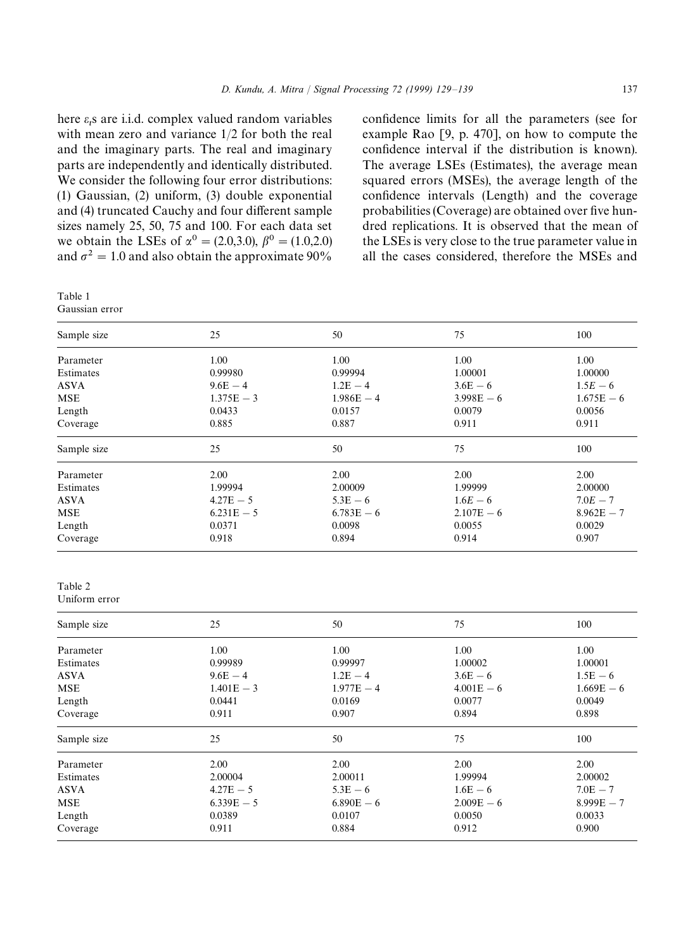here  $\varepsilon_t$ s are i.i.d. complex valued random variables with mean zero and variance 1/2 for both the real and the imaginary parts. The real and imaginary parts are independently and identically distributed. We consider the following four error distributions: (1) Gaussian, (2) uniform, (3) double exponential and (4) truncated Cauchy and four different sample sizes namely 25, 50, 75 and 100. For each data set we obtain the LSEs of  $\alpha^0 = (2.0,3.0), \beta^0 = (1.0,2.0)$ and  $\sigma^2 = 1.0$  and also obtain the approximate 90%

Table 1 Gaussian error

confidence limits for all the parameters (see for example Rao [9, p. 470], on how to compute the confidence interval if the distribution is known). The average LSEs (Estimates), the average mean squared errors (MSEs), the average length of the confidence intervals (Length) and the coverage probabilities (Coverage) are obtained over five hundred replications. It is observed that the mean of the LSEs is very close to the true parameter value in all the cases considered, therefore the MSEs and

| Sample size   | 25           | 50           | 75           | 100          |
|---------------|--------------|--------------|--------------|--------------|
| Parameter     | 1.00         | 1.00         | 1.00         | 1.00         |
| Estimates     | 0.99980      | 0.99994      | 1.00001      | 1.00000      |
| <b>ASVA</b>   | $9.6E - 4$   | $1.2E - 4$   | $3.6E - 6$   | $1.5E - 6$   |
| <b>MSE</b>    | $1.375E - 3$ | $1.986E - 4$ | $3.998E - 6$ | $1.675E - 6$ |
| Length        | 0.0433       | 0.0157       | 0.0079       | 0.0056       |
| Coverage      | 0.885        | 0.887        | 0.911        | 0.911        |
| Sample size   | 25           | 50           | 75           | 100          |
| Parameter     | 2.00         | 2.00         | 2.00         | 2.00         |
| Estimates     | 1.99994      | 2.00009      | 1.99999      | 2.00000      |
| <b>ASVA</b>   | $4.27E - 5$  | $5.3E - 6$   | $1.6E - 6$   | $7.0E - 7$   |
| <b>MSE</b>    | $6.231E - 5$ | $6.783E - 6$ | $2.107E - 6$ | $8.962E - 7$ |
| Length        | 0.0371       | 0.0098       | 0.0055       | 0.0029       |
| Coverage      | 0.918        | 0.894        | 0.914        | 0.907        |
| Table 2       |              |              |              |              |
| Uniform error |              |              |              |              |
| Sample size   | 25           | 50           | 75           | 100          |
| Parameter     | 1.00         | 1.00         | 1.00         | 1.00         |
| Estimates     | 0.99989      | 0.99997      | 1.00002      | 1.00001      |
| <b>ASVA</b>   | $9.6E - 4$   | $1.2E - 4$   | $3.6E - 6$   | $1.5E - 6$   |
| <b>MSE</b>    | $1.401E - 3$ | $1.977E - 4$ | $4.001E - 6$ | $1.669E - 6$ |
| Length        | 0.0441       | 0.0169       | 0.0077       | 0.0049       |
| Coverage      | 0.911        | 0.907        | 0.894        | 0.898        |
| Sample size   | 25           | 50           | 75           | 100          |
| Parameter     | 2.00         | 2.00         | 2.00         | 2.00         |
| Estimates     | 2.00004      | 2.00011      | 1.99994      | 2.00002      |
| <b>ASVA</b>   | $4.27E - 5$  | $5.3E - 6$   | $1.6E - 6$   | $7.0E - 7$   |
| <b>MSE</b>    | $6.339E - 5$ | $6.890E - 6$ | $2.009E - 6$ | $8.999E - 7$ |
| Length        | 0.0389       | 0.0107       | 0.0050       | 0.0033       |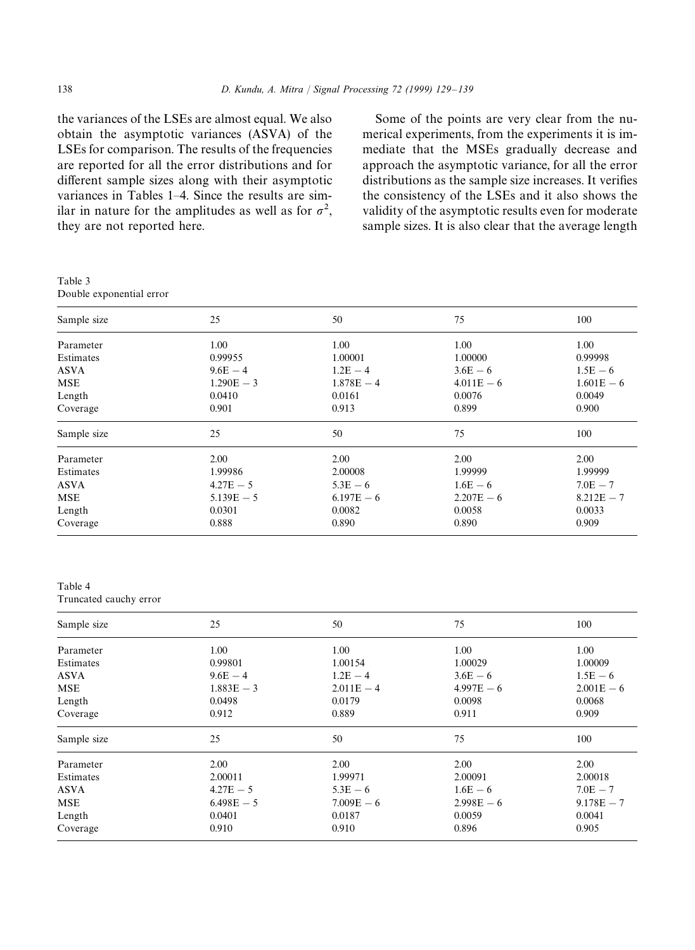the variances of the LSEs are almost equal. We also obtain the asymptotic variances (ASVA) of the LSEs for comparison. The results of the frequencies are reported for all the error distributions and for different sample sizes along with their asymptotic variances in Tables 1–4. Since the results are similar in nature for the amplitudes as well as for  $\sigma^2$ , they are not reported here.

Some of the points are very clear from the numerical experiments, from the experiments it is immediate that the MSEs gradually decrease and approach the asymptotic variance, for all the error distributions as the sample size increases. It verifies the consistency of the LSEs and it also shows the validity of the asymptotic results even for moderate sample sizes. It is also clear that the average length

Table 3 Double exponential error

| Sample size | 25           | 50           | 75           | 100          |
|-------------|--------------|--------------|--------------|--------------|
| Parameter   | 1.00         | 1.00         | 1.00         | 1.00         |
| Estimates   | 0.99955      | 1.00001      | 1.00000      | 0.99998      |
| ASVA        | $9.6E - 4$   | $1.2E - 4$   | $3.6E - 6$   | $1.5E - 6$   |
| MSE         | $1.290E - 3$ | $1.878E - 4$ | $4.011E - 6$ | $1.601E - 6$ |
| Length      | 0.0410       | 0.0161       | 0.0076       | 0.0049       |
| Coverage    | 0.901        | 0.913        | 0.899        | 0.900        |
| Sample size | 25           | 50           | 75           | 100          |
| Parameter   | 2.00         | 2.00         | 2.00         | 2.00         |
| Estimates   | 1.99986      | 2.00008      | 1.99999      | 1.99999      |
| ASVA        | $4.27E - 5$  | $5.3E - 6$   | $1.6E - 6$   | $7.0E - 7$   |
| <b>MSE</b>  | $5.139E - 5$ | $6.197E - 6$ | $2.207E - 6$ | $8.212E - 7$ |
| Length      | 0.0301       | 0.0082       | 0.0058       | 0.0033       |
| Coverage    | 0.888        | 0.890        | 0.890        | 0.909        |
|             |              |              |              |              |

#### Table 4

Truncated cauchy error

| Sample size | 25           | 50           | 75           | 100          |
|-------------|--------------|--------------|--------------|--------------|
| Parameter   | 1.00         | 1.00         | 1.00         | 1.00         |
| Estimates   | 0.99801      | 1.00154      | 1.00029      | 1.00009      |
| <b>ASVA</b> | $9.6E - 4$   | $1.2E - 4$   | $3.6E - 6$   | $1.5E - 6$   |
| <b>MSE</b>  | $1.883E - 3$ | $2.011E - 4$ | $4.997E - 6$ | $2.001E - 6$ |
| Length      | 0.0498       | 0.0179       | 0.0098       | 0.0068       |
| Coverage    | 0.912        | 0.889        | 0.911        | 0.909        |
| Sample size | 25           | 50           | 75           | 100          |
| Parameter   | 2.00         | 2.00         | 2.00         | 2.00         |
| Estimates   | 2.00011      | 1.99971      | 2.00091      | 2.00018      |
| <b>ASVA</b> | $4.27E - 5$  | $5.3E - 6$   | $1.6E - 6$   | $7.0E - 7$   |
| <b>MSE</b>  | $6.498E - 5$ | $7.009E - 6$ | $2.998E - 6$ | $9.178E - 7$ |
| Length      | 0.0401       | 0.0187       | 0.0059       | 0.0041       |
| Coverage    | 0.910        | 0.910        | 0.896        | 0.905        |